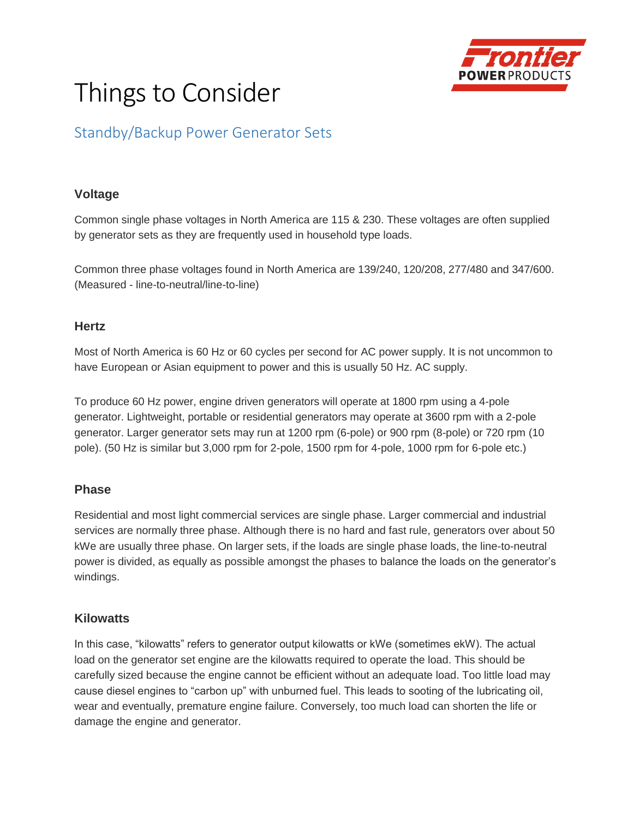

# Things to Consider

# Standby/Backup Power Generator Sets

#### **Voltage**

Common single phase voltages in North America are 115 & 230. These voltages are often supplied by generator sets as they are frequently used in household type loads.

Common three phase voltages found in North America are 139/240, 120/208, 277/480 and 347/600. (Measured - line-to-neutral/line-to-line)

#### **Hertz**

Most of North America is 60 Hz or 60 cycles per second for AC power supply. It is not uncommon to have European or Asian equipment to power and this is usually 50 Hz. AC supply.

To produce 60 Hz power, engine driven generators will operate at 1800 rpm using a 4-pole generator. Lightweight, portable or residential generators may operate at 3600 rpm with a 2-pole generator. Larger generator sets may run at 1200 rpm (6-pole) or 900 rpm (8-pole) or 720 rpm (10 pole). (50 Hz is similar but 3,000 rpm for 2-pole, 1500 rpm for 4-pole, 1000 rpm for 6-pole etc.)

#### **Phase**

Residential and most light commercial services are single phase. Larger commercial and industrial services are normally three phase. Although there is no hard and fast rule, generators over about 50 kWe are usually three phase. On larger sets, if the loads are single phase loads, the line-to-neutral power is divided, as equally as possible amongst the phases to balance the loads on the generator's windings.

## **Kilowatts**

In this case, "kilowatts" refers to generator output kilowatts or kWe (sometimes ekW). The actual load on the generator set engine are the kilowatts required to operate the load. This should be carefully sized because the engine cannot be efficient without an adequate load. Too little load may cause diesel engines to "carbon up" with unburned fuel. This leads to sooting of the lubricating oil, wear and eventually, premature engine failure. Conversely, too much load can shorten the life or damage the engine and generator.